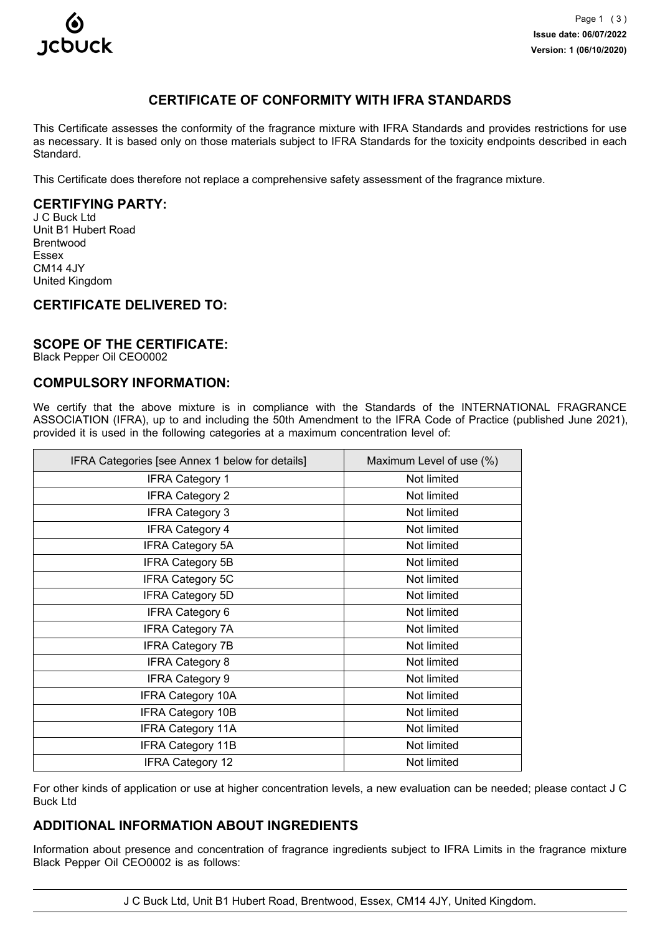

# **CERTIFICATE OF CONFORMITY WITH IFRA STANDARDS**

This Certificate assesses the conformity of the fragrance mixture with IFRA Standards and provides restrictions for use as necessary. It is based only on those materials subject to IFRA Standards for the toxicity endpoints described in each Standard.

This Certificate does therefore not replace a comprehensive safety assessment of the fragrance mixture.

# **CERTIFYING PARTY:**

J C Buck Ltd Unit B1 Hubert Road Brentwood Essex CM14 4JY United Kingdom

### **CERTIFICATE DELIVERED TO:**

### **SCOPE OF THE CERTIFICATE:**

Black Pepper Oil CEO0002

### **COMPULSORY INFORMATION:**

We certify that the above mixture is in compliance with the Standards of the INTERNATIONAL FRAGRANCE ASSOCIATION (IFRA), up to and including the 50th Amendment to the IFRA Code of Practice (published June 2021), provided it is used in the following categories at a maximum concentration level of:

| IFRA Categories [see Annex 1 below for details] | Maximum Level of use (%) |
|-------------------------------------------------|--------------------------|
| <b>IFRA Category 1</b>                          | Not limited              |
| <b>IFRA Category 2</b>                          | Not limited              |
| <b>IFRA Category 3</b>                          | Not limited              |
| <b>IFRA Category 4</b>                          | Not limited              |
| <b>IFRA Category 5A</b>                         | Not limited              |
| <b>IFRA Category 5B</b>                         | Not limited              |
| <b>IFRA Category 5C</b>                         | Not limited              |
| <b>IFRA Category 5D</b>                         | Not limited              |
| <b>IFRA Category 6</b>                          | Not limited              |
| <b>IFRA Category 7A</b>                         | Not limited              |
| <b>IFRA Category 7B</b>                         | Not limited              |
| <b>IFRA Category 8</b>                          | Not limited              |
| <b>IFRA Category 9</b>                          | Not limited              |
| <b>IFRA Category 10A</b>                        | Not limited              |
| <b>IFRA Category 10B</b>                        | Not limited              |
| <b>IFRA Category 11A</b>                        | Not limited              |
| <b>IFRA Category 11B</b>                        | Not limited              |
| <b>IFRA Category 12</b>                         | Not limited              |

For other kinds of application or use at higher concentration levels, a new evaluation can be needed; please contact J C Buck Ltd

# **ADDITIONAL INFORMATION ABOUT INGREDIENTS**

Information about presence and concentration of fragrance ingredients subject to IFRA Limits in the fragrance mixture Black Pepper Oil CEO0002 is as follows:

J C Buck Ltd, Unit B1 Hubert Road, Brentwood, Essex, CM14 4JY, United Kingdom.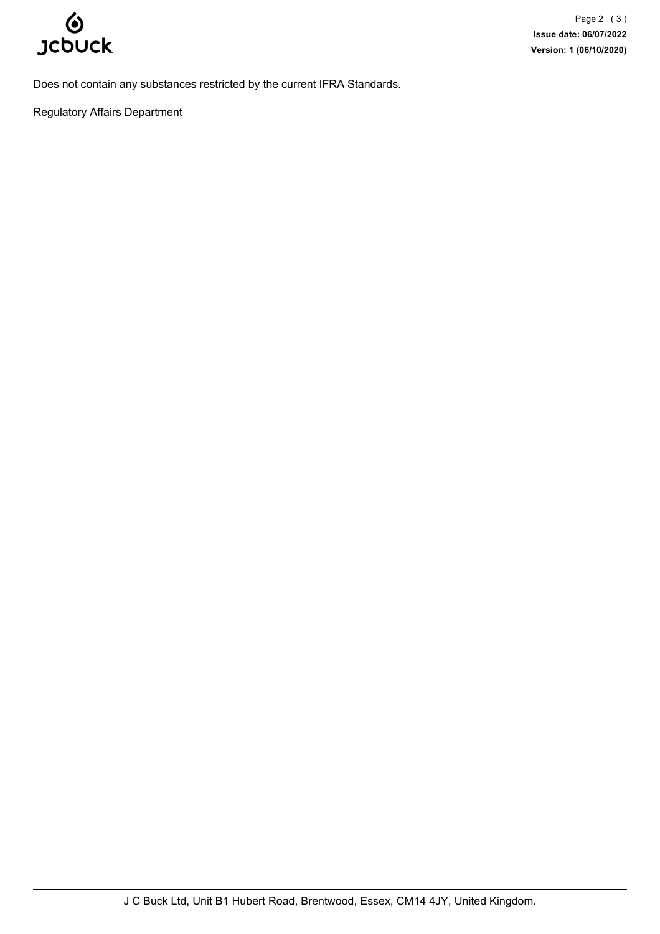

Does not contain any substances restricted by the current IFRA Standards.

Regulatory Affairs Department